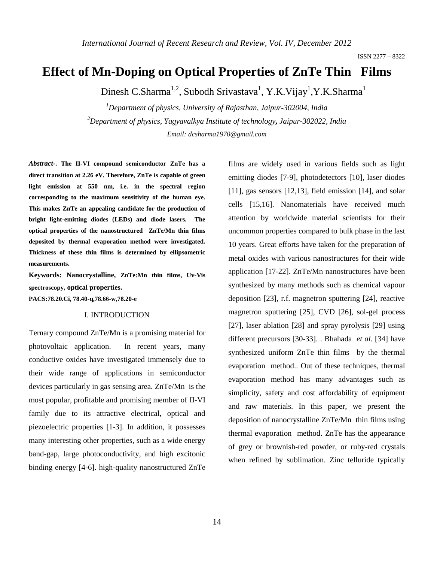# **Effect of Mn-Doping on Optical Properties of ZnTe Thin Films**

Dinesh C.Sharma<sup>1,2</sup>, Subodh Srivastava<sup>1</sup>, Y.K.Vijay<sup>1</sup>, Y.K.Sharma<sup>1</sup>

*<sup>1</sup>Department of physics, University of Rajasthan, Jaipur-302004, India <sup>2</sup>Department of physics, Yagyavalkya Institute of technology, Jaipur-302022, India Email: dcsharma1970@gmail.com* 

*Abstract-***. The II-VI compound semiconductor ZnTe has a direct transition at 2.26 eV. Therefore, ZnTe is capable of green light emission at 550 nm, i.e. in the spectral region corresponding to the maximum sensitivity of the human eye. This makes ZnTe an appealing candidate for the production of bright light-emitting diodes (LEDs) and diode lasers. The optical properties of the nanostructured ZnTe/Mn thin films deposited by thermal evaporation method were investigated. Thickness of these thin films is determined by ellipsometric measurements.** 

**Keywords: Nanocrystalline, ZnTe:Mn thin films, Uv-Vis spectroscopy, optical properties.**

**PACS:78.20.Ci, 78.40-q,78.66-w,78.20-e**

#### I. INTRODUCTION

Ternary compound ZnTe/Mn is a promising material for photovoltaic application. In recent years, many conductive oxides have investigated immensely due to their wide range of applications in semiconductor devices particularly in gas sensing area. ZnTe/Mn is the most popular, profitable and promising member of II-VI family due to its attractive electrical, optical and piezoelectric properties [1-3]. In addition, it possesses many interesting other properties, such as a wide energy band-gap, large photoconductivity, and high excitonic binding energy [4-6]. high-quality nanostructured ZnTe

films are widely used in various fields such as light emitting diodes [7-9], photodetectors [10], laser diodes [11], gas sensors [12,13], field emission [14], and solar cells [15,16]. Nanomaterials have received much attention by worldwide material scientists for their uncommon properties compared to bulk phase in the last 10 years. Great efforts have taken for the preparation of metal oxides with various nanostructures for their wide application [17-22]. ZnTe/Mn nanostructures have been synthesized by many methods such as chemical vapour deposition [23], r.f. magnetron sputtering [24], reactive magnetron sputtering [25], CVD [26], sol-gel process [27], laser ablation [28] and spray pyrolysis [29] using different precursors [30-33]. . Bhahada *et al.* [34] have synthesized uniform ZnTe thin films by the thermal evaporation method.. Out of these techniques, thermal evaporation method has many advantages such as simplicity, safety and cost affordability of equipment and raw materials. In this paper, we present the deposition of nanocrystalline ZnTe/Mn thin films using thermal evaporation method. ZnTe has the appearance of grey or brownish-red powder, or ruby-red crystals when refined by sublimation. Zinc telluride typically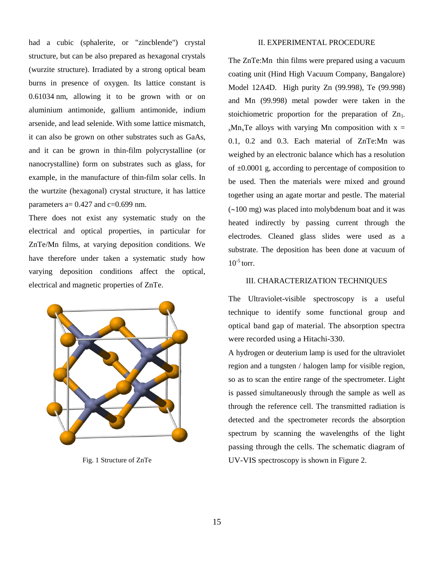had a cubic (sphalerite, or ["zincblende"](http://en.wikipedia.org/wiki/Zincblende)) crystal structure, but can be also prepared as [hexagonal](http://en.wikipedia.org/wiki/Hexagonal_(crystal_system)) crystals [\(wurzite](http://en.wikipedia.org/wiki/Wurzite) structure). Irradiated by a strong optical beam burns in presence of oxygen. Its [lattice constant](http://en.wikipedia.org/wiki/Lattice_constant) is 0.61034 nm, allowing it to be grown with or on [aluminium antimonide,](http://en.wikipedia.org/wiki/Aluminium_antimonide) [gallium antimonide,](http://en.wikipedia.org/wiki/Gallium_antimonide) [indium](http://en.wikipedia.org/wiki/Indium_arsenide)  [arsenide,](http://en.wikipedia.org/wiki/Indium_arsenide) and [lead selenide.](http://en.wikipedia.org/wiki/Lead_selenide) With some lattice mismatch, it can also be grown on other substrates such as [GaAs,](http://en.wikipedia.org/wiki/GaAs) and it can be grown in thin-film [polycrystalline](http://en.wikipedia.org/wiki/Polycrystalline) (or nanocrystalline) form on substrates such as glass, for example, in the manufacture of [thin-film solar cells.](http://en.wikipedia.org/wiki/Thin-film_solar_cells) In the wurtzite (hexagonal) crystal structure, it has lattice parameters a=  $0.427$  and c= $0.699$  nm.

There does not exist any systematic study on the electrical and optical properties, in particular for ZnTe/Mn films, at varying deposition conditions. We have therefore under taken a systematic study how varying deposition conditions affect the optical, electrical and magnetic properties of ZnTe.



Fig. 1 Structure of ZnTe

#### II. EXPERIMENTAL PROCEDURE

The ZnTe:Mn thin films were prepared using a vacuum coating unit (Hind High Vacuum Company, Bangalore) Model 12A4D. High purity Zn (99.998), Te (99.998) and Mn (99.998) metal powder were taken in the stoichiometric proportion for the preparation of  $Zn_1$ .  $x<sub>x</sub>Mn<sub>x</sub>$ Te alloys with varying Mn composition with  $x =$ 0.1, 0.2 and 0.3. Each material of ZnTe:Mn was weighed by an electronic balance which has a resolution of  $\pm 0.0001$  g, according to percentage of composition to be used. Then the materials were mixed and ground together using an agate mortar and pestle. The material  $(\sim 100 \text{ mg})$  was placed into molybdenum boat and it was heated indirectly by passing current through the electrodes. Cleaned glass slides were used as a substrate. The deposition has been done at vacuum of  $10^{-5}$  torr.

# III. CHARACTERIZATION TECHNIQUES

The Ultraviolet-visible spectroscopy is a useful technique to identify some functional group and optical band gap of material. The absorption spectra were recorded using a Hitachi-330.

A hydrogen or deuterium lamp is used for the ultraviolet region and a tungsten / halogen lamp for visible region, so as to scan the entire range of the spectrometer. Light is passed simultaneously through the sample as well as through the reference cell. The transmitted radiation is detected and the spectrometer records the absorption spectrum by scanning the wavelengths of the light passing through the cells. The schematic diagram of UV-VIS spectroscopy is shown in Figure 2.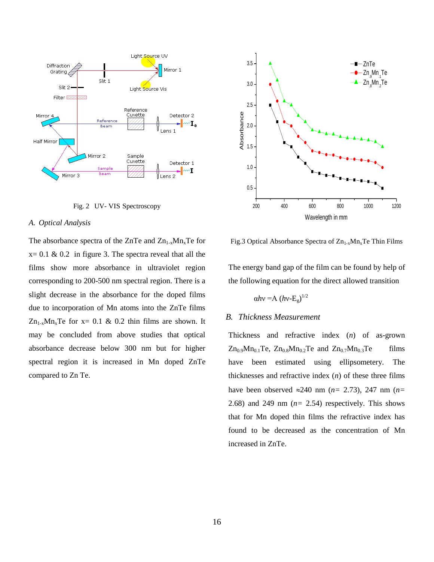

Fig. 2 UV- VIS Spectroscopy

#### *A. Optical Analysis*

The absorbance spectra of the ZnTe and  $Zn_{1-x}Mn_{x}Te$  for  $x= 0.1 \& 0.2$  in figure 3. The spectra reveal that all the films show more absorbance in ultraviolet region corresponding to 200-500 nm spectral region. There is a slight decrease in the absorbance for the doped films due to incorporation of Mn atoms into the ZnTe films  $Zn_{1-x}Mn_xTe$  for  $x=0.1$  & 0.2 thin films are shown. It may be concluded from above studies that optical absorbance decrease below 300 nm but for higher spectral region it is increased in Mn doped ZnTe compared to Zn Te.



Fig.3 Optical Absorbance Spectra of  $Zn_{1-x}Mn_xTe$  Thin Films

The energy band gap of the film can be found by help of the following equation for the direct allowed transition

$$
\alpha h v = A (h v - E_g)^{1/2}
$$

## *B. Thickness Measurement*

Thickness and refractive index (*n*) of as-grown  $Zn_{0.9}Mn_{0.1}Te$ ,  $Zn_{0.8}Mn_{0.2}Te$  and  $Zn_{0.7}Mn_{0.3}Te$  films have been estimated using ellipsometery. The thicknesses and refractive index (*n*) of these three films have been observed  $\approx 240$  nm ( $n=$  2.73), 247 nm ( $n=$ 2.68) and 249 nm  $(n= 2.54)$  respectively. This shows that for Mn doped thin films the refractive index has found to be decreased as the concentration of Mn increased in ZnTe.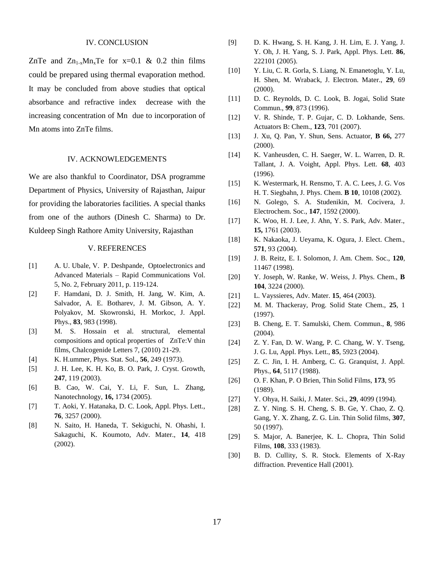## IV. CONCLUSION

ZnTe and  $Zn_{1-x}Mn_{x}Te$  for  $x=0.1$  & 0.2 thin films could be prepared using thermal evaporation method. It may be concluded from above studies that optical absorbance and refractive index decrease with the increasing concentration of Mn due to incorporation of Mn atoms into ZnTe films.

#### IV. ACKNOWLEDGEMENTS

We are also thankful to Coordinator, DSA programme Department of Physics, University of Rajasthan, Jaipur for providing the laboratories facilities. A special thanks from one of the authors (Dinesh C. Sharma) to Dr. Kuldeep Singh Rathore Amity University, Rajasthan

## V. REFERENCES

- [1] A. U. Ubale, V. P. Deshpande, Optoelectronics and Advanced Materials – Rapid Communications Vol. 5, No. 2, February 2011, p. 119-124.
- [2] F. Hamdani, D. J. Smith, H. Jang, W. Kim, A. Salvador, A. E. Botharev, J. M. Gibson, A. Y. Polyakov, M. Skowronski, H. Morkoc, J. Appl. Phys., **83**, 983 (1998).
- [3] M. S. Hossain et al. structural, elemental compositions and optical properties of ZnTe:V thin films, Chalcogenide Letters 7, (2010) 21-29.
- [4] K. H.ummer, Phys. Stat. Sol., **56**, 249 (1973).
- [5] J. H. Lee, K. H. Ko, B. O. Park, J. Cryst. Growth, **247**, 119 (2003).
- [6] B. Cao, W. Cai, Y. Li, F. Sun, L. Zhang, Nanotechnology, **16,** 1734 (2005).
- [7] T. Aoki, Y. Hatanaka, D. C. Look, Appl. Phys. Lett., **76**, 3257 (2000).
- [8] N. Saito, H. Haneda, T. Sekiguchi, N. Ohashi, I. Sakaguchi, K. Koumoto, Adv. Mater., **14**, 418 (2002).
- [9] D. K. Hwang, S. H. Kang, J. H. Lim, E. J. Yang, J. Y. Oh, J. H. Yang, S. J. Park, Appl. Phys. Lett. **86**, 222101 (2005).
- [10] Y. Liu, C. R. Gorla, S. Liang, N. Emanetoglu, Y. Lu, H. Shen, M. Wraback, J. Electron. Mater., **29**, 69 (2000).
- [11] D. C. Reynolds, D. C. Look, B. Jogai, Solid State Commun., **99**, 873 (1996).
- [12] V. R. Shinde, T. P. Gujar, C. D. Lokhande, Sens. Actuators B: Chem., **123**, 701 (2007).
- [13] J. Xu, Q. Pan, Y. Shun, Sens. Actuator, **B 66,** 277 (2000).
- [14] K. Vanheusden, C. H. Saeger, W. L. Warren, D. R. Tallant, J. A. Voight, Appl. Phys. Lett. **68**, 403 (1996).
- [15] K. Westermark, H. Rensmo, T. A. C. Lees, J. G. Vos H. T. Siegbahn, J. Phys. Chem. **B 10**, 10108 (2002).
- [16] N. Golego, S. A. Studenikin, M. Cocivera, J. Electrochem. Soc., **147**, 1592 (2000).
- [17] K. Woo, H. J. Lee, J. Ahn, Y. S. Park, Adv. Mater., **15,** 1761 (2003).
- [18] K. Nakaoka, J. Ueyama, K. Ogura, J. Elect. Chem., **571**, 93 (2004).
- [19] J. B. Reitz, E. I. Solomon, J. Am. Chem. Soc., **120**, 11467 (1998).
- [20] Y. Joseph, W. Ranke, W. Weiss, J. Phys. Chem., **B 104**, 3224 (2000).
- [21] L. Vayssieres, Adv. Mater. **15**, 464 (2003).
- [22] M. M. Thackeray, Prog. Solid State Chem., **25**, 1 (1997).
- [23] B. Cheng, E. T. Samulski, Chem. Commun., **8**, 986 (2004).
- [24] Z. Y. Fan, D. W. Wang, P. C. Chang, W. Y. Tseng, J. G. Lu, Appl. Phys. Lett., **85**, 5923 (2004).
- [25] Z. C. Jin, I. H. Amberg, C. G. Granquist, J. Appl. Phys., **64**, 5117 (1988).
- [26] O. F. Khan, P. O Brien, Thin Solid Films, **173**, 95 (1989).
- [27] Y. Ohya, H. Saiki, J. Mater. Sci., **29**, 4099 (1994).
- [28] Z. Y. Ning. S. H. Cheng, S. B. Ge, Y. Chao, Z. Q. Gang, Y. X. Zhang, Z. G. Lin. Thin Solid films, **307**, 50 (1997).
- [29] S. Major, A. Banerjee, K. L. Chopra, Thin Solid Films, **108**, 333 (1983).
- [30] B. D. Cullity, S. R. Stock. Elements of X-Ray diffraction. Preventice Hall (2001).